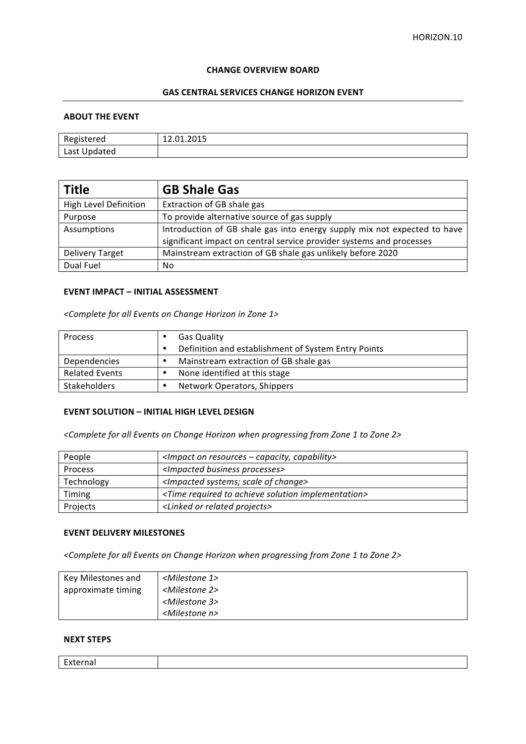#### **CHANGE OVERVIEW BOARD**

# **GAS CENTRAL SERVICES CHANGE HORIZON EVENT**

## **ABOUT THE EVENT**

| Registered   | 12.01.2015 |
|--------------|------------|
| Last Updated |            |

| <b>Title</b>                 | <b>GB Shale Gas</b>                                                      |
|------------------------------|--------------------------------------------------------------------------|
| <b>High Level Definition</b> | Extraction of GB shale gas                                               |
| Purpose                      | To provide alternative source of gas supply                              |
| Assumptions                  | Introduction of GB shale gas into energy supply mix not expected to have |
|                              | significant impact on central service provider systems and processes     |
| <b>Delivery Target</b>       | Mainstream extraction of GB shale gas unlikely before 2020               |
| Dual Fuel                    | No                                                                       |

# **EVENT IMPACT - INITIAL ASSESSMENT**

*<Complete for all Events on Change Horizon in Zone 1>*

| Process               |   | <b>Gas Quality</b>                                  |
|-----------------------|---|-----------------------------------------------------|
|                       | ٠ | Definition and establishment of System Entry Points |
| Dependencies          | ٠ | Mainstream extraction of GB shale gas               |
| <b>Related Events</b> |   | None identified at this stage                       |
| <b>Stakeholders</b>   | ٠ | Network Operators, Shippers                         |

### **EVENT SOLUTION - INITIAL HIGH LEVEL DESIGN**

<Complete for all Events on Change Horizon when progressing from Zone 1 to Zone 2>

| People     | $\leq$ Impact on resources – capacity, capability>                       |
|------------|--------------------------------------------------------------------------|
| Process    | <impacted business="" processes=""></impacted>                           |
| Technology | <impacted change="" of="" scale="" systems;=""></impacted>               |
| Timing     | <time achieve="" implementation="" required="" solution="" to=""></time> |
| Projects   | <linked or="" projects="" related=""></linked>                           |

### **EVENT DELIVERY MILESTONES**

<Complete for all Events on Change Horizon when progressing from Zone 1 to Zone 2>

| Key Milestones and | <milestone 1=""></milestone> |
|--------------------|------------------------------|
| approximate timing | <milestone 2=""></milestone> |
|                    | <milestone 3=""></milestone> |
|                    | <milestone n=""></milestone> |

## **NEXT STEPS**